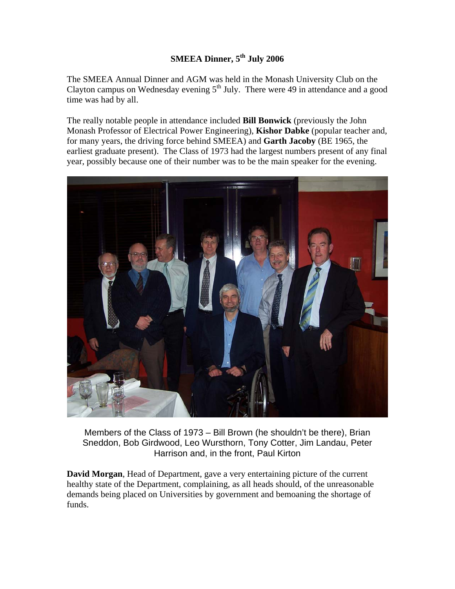## **SMEEA Dinner, 5<sup>th</sup> July 2006**

The SMEEA Annual Dinner and AGM was held in the Monash University Club on the Clayton campus on Wednesday evening  $5<sup>th</sup>$  July. There were 49 in attendance and a good time was had by all.

The really notable people in attendance included **Bill Bonwick** (previously the John Monash Professor of Electrical Power Engineering), **Kishor Dabke** (popular teacher and, for many years, the driving force behind SMEEA) and **Garth Jacoby** (BE 1965, the earliest graduate present). The Class of 1973 had the largest numbers present of any final year, possibly because one of their number was to be the main speaker for the evening.



Members of the Class of 1973 – Bill Brown (he shouldn't be there), Brian Sneddon, Bob Girdwood, Leo Wursthorn, Tony Cotter, Jim Landau, Peter Harrison and, in the front, Paul Kirton

**David Morgan**, Head of Department, gave a very entertaining picture of the current healthy state of the Department, complaining, as all heads should, of the unreasonable demands being placed on Universities by government and bemoaning the shortage of funds.